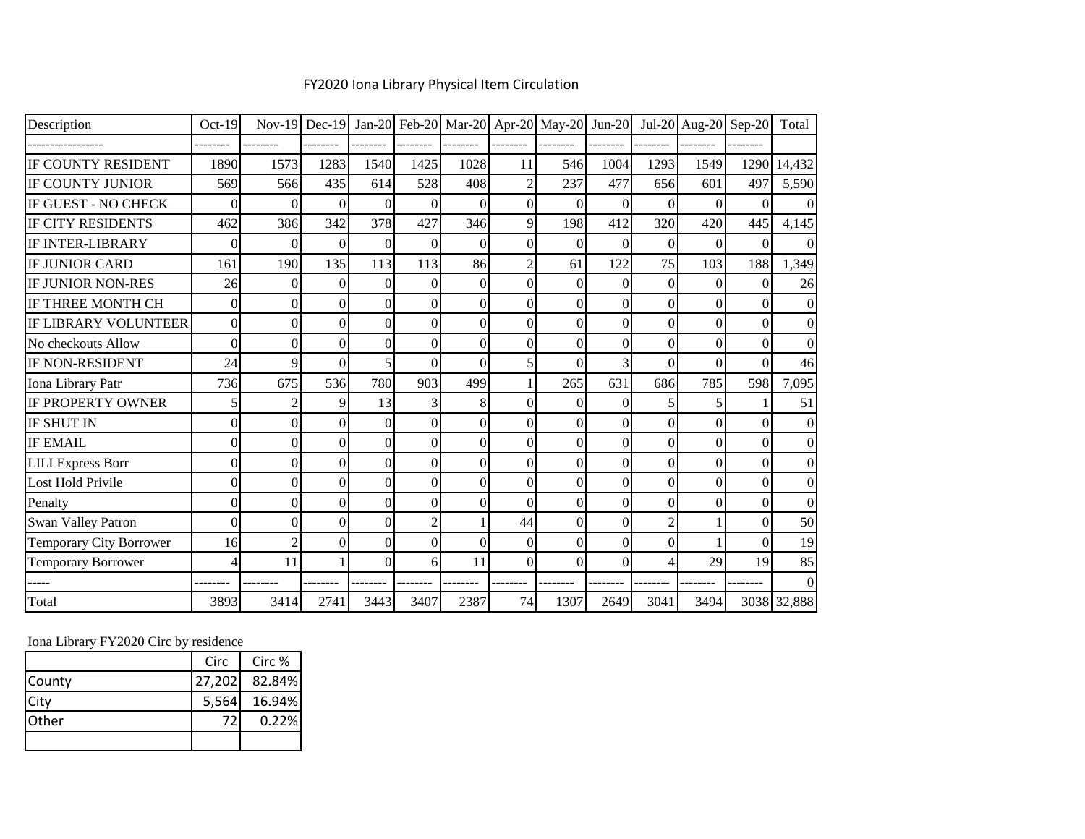| Description                 | $Oct-19$     | $Nov-19$       | $Dec-19$ |                          |                  |          |                  | Jan-20 Feb-20 Mar-20 Apr-20 May-20 Jun-20 |          |          | Jul-20 Aug-20 Sep-20 |          | Total       |
|-----------------------------|--------------|----------------|----------|--------------------------|------------------|----------|------------------|-------------------------------------------|----------|----------|----------------------|----------|-------------|
|                             |              |                |          |                          |                  |          |                  |                                           |          |          |                      |          |             |
| <b>IF COUNTY RESIDENT</b>   | 1890         | 1573           | 1283     | 1540                     | 1425             | 1028     | 11               | 546                                       | 1004     | 1293     | 1549                 | 1290     | 14,432      |
| IF COUNTY JUNIOR            | 569          | 566            | 435      | 614                      | 528              | 408      | 2                | 237                                       | 477      | 656      | 601                  | 497      | 5,590       |
| IF GUEST - NO CHECK         | $\mathbf{0}$ | $\theta$       | $\theta$ | $\overline{0}$           | $\theta$         | $\theta$ | $\boldsymbol{0}$ | $\mathbf{0}$                              | $\theta$ | $\theta$ | $\Omega$             | $\Omega$ | $\Omega$    |
| <b>IF CITY RESIDENTS</b>    | 462          | 386            | 342      | 378                      | 427              | 346      | 9                | 198                                       | 412      | 320      | 420                  | 445      | 4,145       |
| <b>IF INTER-LIBRARY</b>     | $\Omega$     | $\theta$       | $\theta$ | $\Omega$                 | $\theta$         | $\Omega$ | $\theta$         | $\mathbf{0}$                              | $\theta$ | $\theta$ | $\Omega$             | $\Omega$ | $\Omega$    |
| <b>IF JUNIOR CARD</b>       | 161          | 190            | 135      | 113                      | 113              | 86       | $\overline{2}$   | 61                                        | 122      | 75       | 103                  | 188      | 1,349       |
| <b>IF JUNIOR NON-RES</b>    | 26           | $\Omega$       | $\theta$ | $\overline{0}$           | $\boldsymbol{0}$ | $\theta$ | $\Omega$         | $\mathbf{0}$                              | $\Omega$ | $\Omega$ | $\theta$             | $\Omega$ | 26          |
| IF THREE MONTH CH           | $\Omega$     | $\Omega$       | $\theta$ | $\overline{0}$           | $\boldsymbol{0}$ | $\Omega$ | 0                | $\mathbf{0}$                              | $\Omega$ | $\Omega$ | $\overline{0}$       | $\Omega$ | $\Omega$    |
| <b>IF LIBRARY VOLUNTEER</b> | $\Omega$     | 0              | $\theta$ | $\Omega$                 | $\theta$         | 0        | 0                | $\mathbf{0}$                              | $\theta$ | 0        | 0                    | $\Omega$ | $\theta$    |
| No checkouts Allow          | $\Omega$     |                | $\theta$ | $\overline{0}$           | $\boldsymbol{0}$ | 0        | 0                | $\mathbf{0}$                              | $\theta$ | 0        | 0                    | $\Omega$ | $\Omega$    |
| IF NON-RESIDENT             | 24           | 9              | $\Omega$ | $\overline{\phantom{0}}$ | $\Omega$         | $\Omega$ |                  | $\Omega$                                  | 3        | 0        | 0                    | $\Omega$ | 46          |
| Iona Library Patr           | 736          | 675            | 536      | 780                      | 903              | 499      |                  | 265                                       | 631      | 686      | 785                  | 598      | 7,095       |
| <b>IF PROPERTY OWNER</b>    |              |                | 9        | 13                       | 3                | 8        | 0                | $\mathbf{0}$                              | 0        |          |                      |          | 51          |
| <b>IF SHUT IN</b>           | $\Omega$     | $\Omega$       | $\theta$ | $\boldsymbol{0}$         | $\overline{0}$   | $\Omega$ | 0                | $\mathbf{0}$                              | $\theta$ | 0        | $\overline{0}$       | $\Omega$ | $\Omega$    |
| <b>IF EMAIL</b>             | $\Omega$     | 0              | $\theta$ | $\Omega$                 | $\theta$         | $\Omega$ | 0                | $\boldsymbol{0}$                          | $\Omega$ | 0        | 0                    | $\Omega$ | $\Omega$    |
| <b>LILI Express Borr</b>    | $\theta$     | $\theta$       | $\theta$ | $\overline{0}$           | $\theta$         | $\Omega$ | 0                | $\overline{0}$                            | $\theta$ | 0        | 0                    | $\Omega$ | $\theta$    |
| Lost Hold Privile           | 0            | $\Omega$       | $\theta$ | $\overline{0}$           | $\theta$         | $\Omega$ | 0                | $\mathbf{0}$                              | $\Omega$ | 0        | 0                    | $\Omega$ | $\theta$    |
| Penalty                     | $\Omega$     | $\Omega$       | $\theta$ | $\overline{0}$           | $\theta$         | $\Omega$ | 0                | $\mathbf{0}$                              | $\Omega$ | 0        | 0                    | $\Omega$ | $\Omega$    |
| Swan Valley Patron          | $\Omega$     | $\theta$       | $\theta$ | $\overline{0}$           | $\overline{c}$   |          | 44               | $\mathbf{0}$                              | $\theta$ |          |                      | $\Omega$ | 50          |
| Temporary City Borrower     | 16           | $\overline{2}$ | $\theta$ | $\overline{0}$           | $\mathbf{0}$     | $\Omega$ | $\theta$         | $\mathbf{0}$                              | $\theta$ | 0        |                      | $\Omega$ | 19          |
| <b>Temporary Borrower</b>   | 4            | 11             |          | $\Omega$                 | 6                | 11       | $\overline{0}$   | $\Omega$                                  | $\Omega$ |          | 29                   | 19       | 85          |
|                             |              |                |          |                          |                  |          |                  |                                           |          |          |                      |          |             |
| Total                       | 3893         | 3414           | 2741     | 3443                     | 3407             | 2387     | 74               | 1307                                      | 2649     | 3041     | 3494                 |          | 3038 32,888 |

## FY2020 Iona Library Physical Item Circulation

## Iona Library FY2020 Circ by residence

|                | Circ   | Circ % |
|----------------|--------|--------|
| County         | 27,202 | 82.84% |
| <b>City</b>    | 5,564  | 16.94% |
| <b>l</b> Other | 72     | 0.22%  |
|                |        |        |